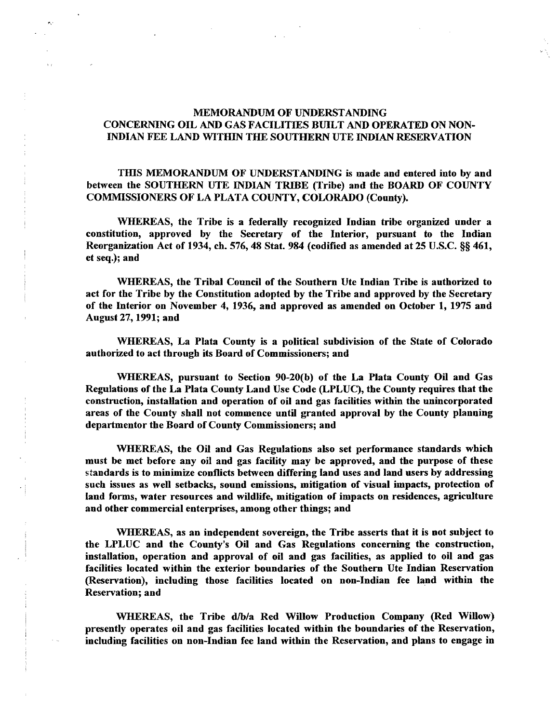## MEMORANDUM OF UNDERSTANDING CONCERNING OIL AND GAS FACILITIES BUILT AND OPERATED ON NON-INDIAN FEE LAND WITHIN THE SOUTHERN UTE INDIAN RESERVATION

 $\mathcal{P}_{\mathbf{u}}$ 

.......

THIS MEMORANDUM OF UNDERSTANDING is made and entered into by and between the SOUTHERN UTE INDIAN TRIBE (Tribe) and the BOARD OF COUNTY COMMISSIONERS OF LA PLATA COUNTY, COLORADO (County).

WHEREAS, the Tribe is a federally recognized Indian tribe organized under a constitution, approved by the Secretary of the Interior, pursuant to the Indian Reorganization Act of 1934, cb. 576, 48 Stat. 984 (codified as amended at 25 U.S.C. §§ 461, et seq.); and

WHEREAS, the Tribal Council of the Southern Ute Indian Tribe is authorized to act for the Tribe by the Constitution adopted by the Tribe and approved by the Secretary of the Interior on November 4, 1936, and approved as amended on October 1, 1975 and August 27, 1991; and

WHEREAS, La Plata County is a political subdivision of the State of Colorado authorized to act through its Board of Commissioners; and

WHEREAS, pursuant to Section 90-20(b) of the La Plata County Oil and Gas Regulations ofthe La Plata County Land Use Code (LPLUC), the County requires that the construction, installation and operation of oil and gas facilities within tbe unincorporated areas of the County shall not commence until granted approval by the County planning departmentor the Board of County Commissioners; and

WHEREAS, the Oil and Gas Regulations also set performance standards which must be met before any oil and gas facility may be approved, and the purpose of these standards is to minimize conflicts between differing land uses and land users by addressing such issues as well setbacks, sound emissions, mitigation of visual impacts, protection of land forms, water resources and wildlife, mitigation of impacts on residences, agriculture and other commercial enterprises, among other things; and

WHEREAS, as an independent sovereign, the Tribe asserts that it is not subject to the LPLUC and the County's Oil and Gas Regulations concerning the construction, installation, operation and approval of oil and gas facilities, as applied to oil and gas facilities located within the exterior boundaries of the Southern Ute Indian Reservation (Reservation), including those facilities located on non-Indian fee land within the Reservation; and

WHEREAS, the Tribe d/b/a Red Willow Production Company (Red Willow) presently operates oil and gas facilities located within the boundaries of the Reservation, including facilities on non-Indian fee land within the Reservation, and plans to engage in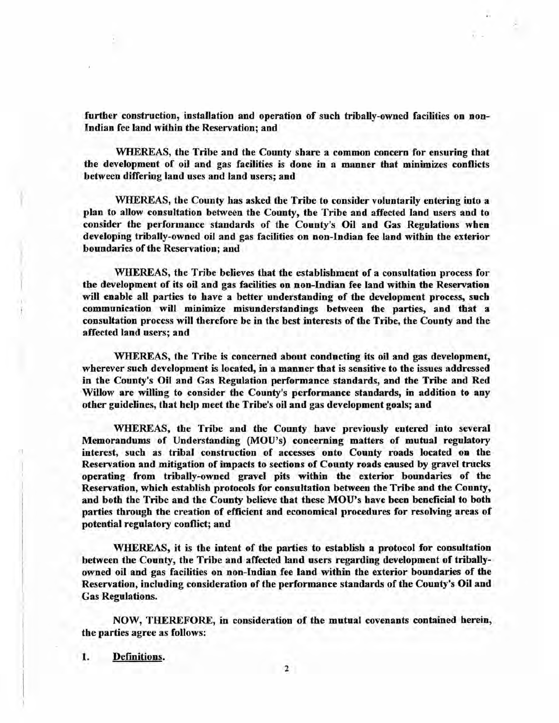further construction, installation and operation of such tribally-owned facilities on non-Indian fee land within tbe Reservation; and

WHEREAS, the Tribe and the County share a common concern for ensuring that the development of oil and gas facilities is done in a manner that minimizes conflicts between differing land uses and land users; and

WHEREAS, the County has asked the Tribe to consider voluntarily entering into a plan to allow consultation between the County, the Tribe and affected land users and to consider the performance standards of the County's Oil and Gas Regulations wben developing tribally-owned oil and gas facilities on non-Indian fee land within the exterior boundaries of the Reservation; and

WHEREAS, the Tribe believes that the establishment of a consultation process for the development of its oil and gas facilities on non-Indian fee land within the Reservation will enable all parties to have a better understanding of the development process, such communication will minimize misunderstandings between the parties, and that a consultation process will therefore be in the best interests of the Tribe, the County and the affected land users; and

WHEREAS, the Tribe is concerned about conducting its oil and gas development, wherever such development is located, in a manner that is sensitive to the issues addressed in the County's Oil and Gas Regulation performance standards, and the Tribe and Red Willow are willing to consider the County's performance standards, in addition to any other guidelines, that help meet the Tribe's oil and gas development goals; and

WHEREAS, the Tribe and the County have previously entered into several Memorandums of Understanding (MOU's) concerning matters of mutual regulatory interest, such as tribal construction of accesses onto County roads located on the Reservation and mitigation of impacts to sections of County roads caused by gravel trucks operating from tribally-owned gravel pits within the exterior boundaries of the Reservation, which establish protocols for consultation between the Tribe and the County, and both the Tribe and the County believe that these MOU's bave been beneficial to both parties through the creation of efficient and economical procedures for resolving areas of potential regulatory conflict; and

WHEREAS, it is the intent of the parties to establish a protocol for consultation between the County, the Tribe and affected land users regarding development of triballyowned oil and gas facilities on non-Indian fee land within the exterior boundaries of the Reservation, including consideration of the performance standards of the County's Oil and Gas Regulations.

NOW, THEREFORE, in consideration of the mutual covenants contained herein, tbe parties agree as follows:

1. Definitions.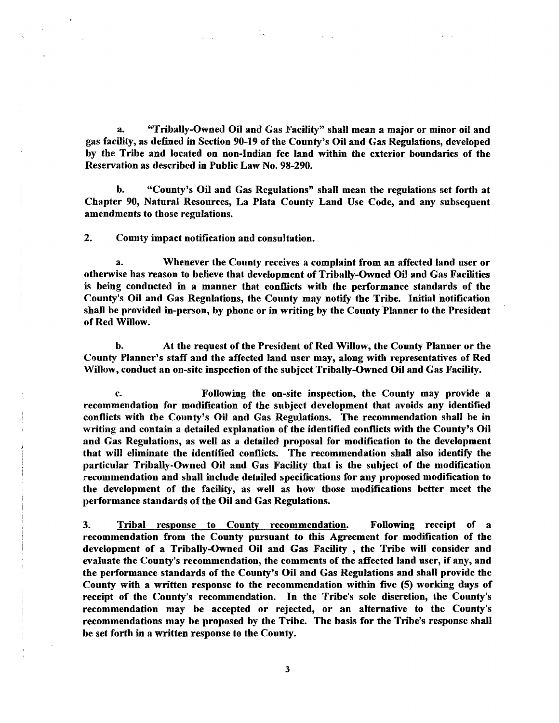a. "Tribally-Owned Oil and Gas Facility" shall mean a major or minor oil and gas facility, as defined in Section 90-19 of the County's Oil and Gas Regulations, developed by the Tribe and located on non-Indian fee land within the exterior boundaries of the Reservation as described in Public Law No. 98-290.

b. "County's Oil and Gas Regulations" shall mean the regulations set forth at Chapter 90, Natural Resources, La Plata County Land Use Code, and any subsequent amendments to those regulations.

2. County impact notification and consultation.

a. Whenever the County receives a complaint from an affected land user or othenvise has reason to believe that development of Tribally-Owned Oil and Gas Facilities is being conducted in a manner that conflicts with the performance standards of the County's Oil and Gas Regulations, the County may notify tbe Tribe. Initial notification shall be provided in-person, by phone or in writing by the County 'Planner to the President of Red Willow.

b. At the request of the President of Red Willow, the Connty Planner or the County Planner's staff and the affected land user may, along with representatives of Red Willow, conduct an on-site inspection of the subject Tribally-Owned Oil and Gas Facility.

c. Following the on-site inspection, the County may provide a recommendation for modification of the subject development that avoids any identified conflicts with the County's Oil and Gas Regulations. The recommendation shall be in writing and contain a detailed explanation of the identified conflicts with the County's Oil and Gas Regulations, as well as a detailed proposal for modification to the development that will eliminate the identified conflicts. The recommendation shall also identify the particular Tribally-Owned Oil and Gas Facility that is the subject of the modification recommendation and shall include detailed specifications for any proposed modification to the development of the facility, as well as how those modifications better meet the performance standards of the Oil and Gas Regulations.

3. Tribal response to County recommendation. Following receipt of a recommendation from the County pursuant to this Agreement for modification of the development of a Tribally-Owned Oil and Gas Facility , the Tribe will consider and evaluate the County's recommendation, the comments of the affected land user, if any, and the performance standards of the County's Oil and Gas Regulations and sball provide the County with a written response to the recommendation within five (5) working days of receipt of the County's recommendation. In the Tribe's sole discretion, the Connty's recommendation may be accepted or rejected, or an alternative to the County's recommendations may be proposed by the Tribe. The basis for the Tribe's response shall be set forth in a written response to the County.

3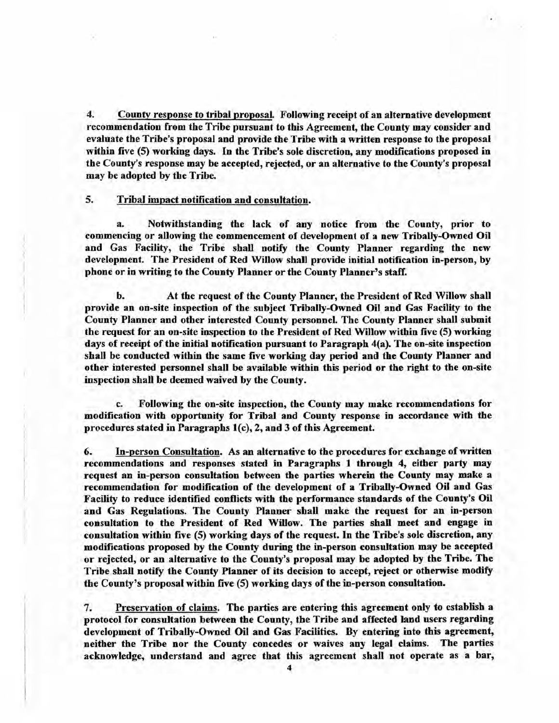4. County response to tribal proposal. Following receipt of an alternative development recommendation from the Tribe pursuant to this Agreement, the County may consider and evaluate the Tribe's proposal and provide the Tribe with a written response to the proposal within five (5) working days. In the Tribe's sole discretion, any modifications proposed in the County's response may be accepted, rejected, or an alternative to the County's proposal may be adopted by the Tribe.

## 5. Tribal impact notifIcation and consultation.

a. Notwithstanding the lack of any notice from the County, prior to commencing or allowing the commencement of development of a new Tribally-Owned Oil and Gas Facility, the Tribe shall notify the County Planner regarding the new development. The President of Red Willow shall provide initial notification in-person, by phone or in writing to the County Planner or the County Planner's staff.

b. At the request of the County Planner, the President of Red Willow shall provide an on-site inspection of the subject Tribally-Owned Oil and Gas Facility to the County Planner and other interested County personnel. The County Planner shall submit the request for an on-site inspection to the President of Red Willow within five (5) working days of receipt of the initial notification pursuant to Paragraph 4(a). The on-site inspection shall be conducted within the same five working day period and the County Planner and other interested personnel shall be available within this period or the right to the on-site inspection shall be deemed waived by the County.

c. Following the on-site inspection, the County may make recommendations for modification with opportunity for Tribal and County response in accordance with the procedures stated in Paragraphs  $1(c)$ , 2, and 3 of this Agreement.

6. In-person Consultation. As an alternative to the procedures for exchange of written recommendations and responses stated in Paragraphs 1 through 4, either party may request an in-person consultation between the parties wherein the County may make a recommendation for modification of the development of a Tribally-Owned Oil and Gas Facility to reduce identified conflicts with the performance standards of the County's Oil and Gas Regulations. The County Planner shall make the request for an in-person consultation to the President of Red Willow. The parties shall meet and engage in consultation within five (5) working days of the request. In the Tribe's sole discretion, any modifications proposed by the County during the in-person consultation may be accepted or rejected, or an alternative to the County's proposal may be adopted by the Tribe. The Tribe shall notify the County Planner of its decision to accept, reject or otherwise modify the County's proposal within five (5) working days of the in-person consultation.

7. Preservation of claims. The parties are entering this agreement only to establish a protocol for consultation between the County, tbe Tribe and affected land users regarding development of Tribally-Owned Oil and Gas Facilities. By entering into this agreement, neither the Tribe nor the County concedes or waives any legal claims. The parties acknowledge, understand and agree that this agreement shall not operate as a bar,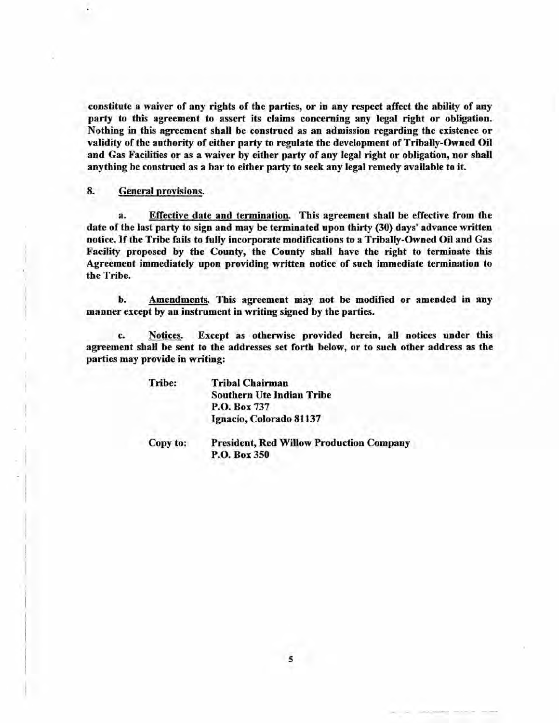constitute a waiver of any rights of the parties, or in any respect affect the ability of any party to this agreement to assert its claims concerning any legal right or obligation. Nothing in this agreement shall be construed as an admission regarding the existence or validity of the authority of either party to regulate the development of Tribally-Owned Oil and Gas Facilities or as a waiver by either party of any legal right or obligation, nor shall anything be construed as a bar to either party to seek any legal remedy available to it.

## 8. General provisions.

a. Effective date and termination. This agreement shall be effective from the date of the last party to sign and may be terminated upon thirty (30) days' advance written notice. If the Tribe fails to fully incorporate modifications to a Tribally-Owned Oil and Gas Facility proposed by the County, the County shall have the right to terminate this Agreement immediately upon providing written notice of such immediate termination to the Tribe.

b. Amendments. This agreement may not be modified or amended in any manner except by an instrument in writing signed by the parties.

c. Notices. Except as otherwise provided herein, aU notices under this agreement shaH be sent to the addresses set forth below, or to such other address as the parties may provide in writing:

Tribe:

Tribal Chairman Southern Ute Indian Tribe P.O. Box 737 Ignacio, Colorado 81137

Copy to:

President, Red Willow Production Company P.O. Box 350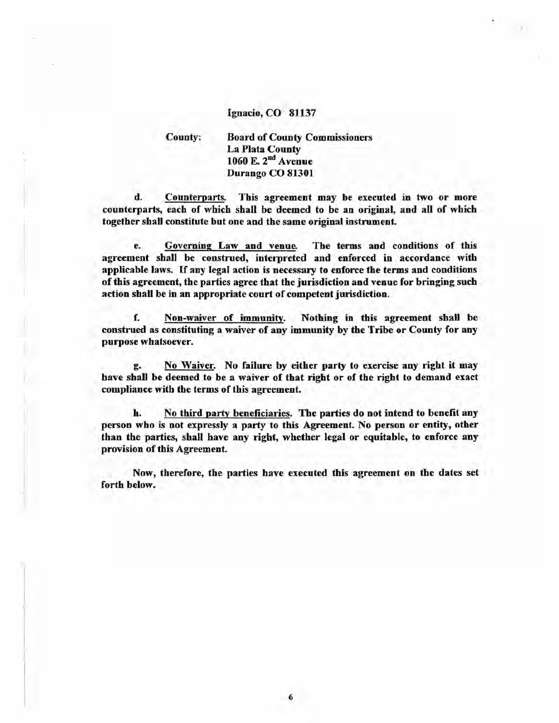## Ignacio, CO 81137

County:

i ,

**Board of County Commissioners** La Plata County 1060 E. 2<sup>nd</sup> Avenue Durango CO 81301

d. Counterparts. This agreement may be executed in two or more counterparts, each of which shall be deemed to be an original, and all of which together shall constitute but one and the same original instrument.

e. Governing Law and venue. The terms and conditions of this agreement shall be construed, interpreted and enforced in accordance with applicable laws. If any legal action is necessary to enforce the terms and conditions of this agreement, the parties agree that the jurisdiction and venue for bringing such action shall be in an appropriate court of competent jurisdiction.

f. Non-waiver of immunity. Nothing in this agreement shall be construed as constituting a waiver of any immunity by the Tribe or County for any purpose whatsoever.

g. No Waiver. No failure by either party to exercise any right it may have shall be deemed to be a waiver of that right or of the right to demand exact compliance with the terms of this agreement.

h. No third party beneficiaries. The parties do not intend to benefit any person who is not expressly a party to this Agreement. No person or entity, other than the parties, shall have any right, whether legal or equitable, to enforce any provision of this Agreement.

Now, therefore, the parties have executed this agreement on the dates set forth below.

6